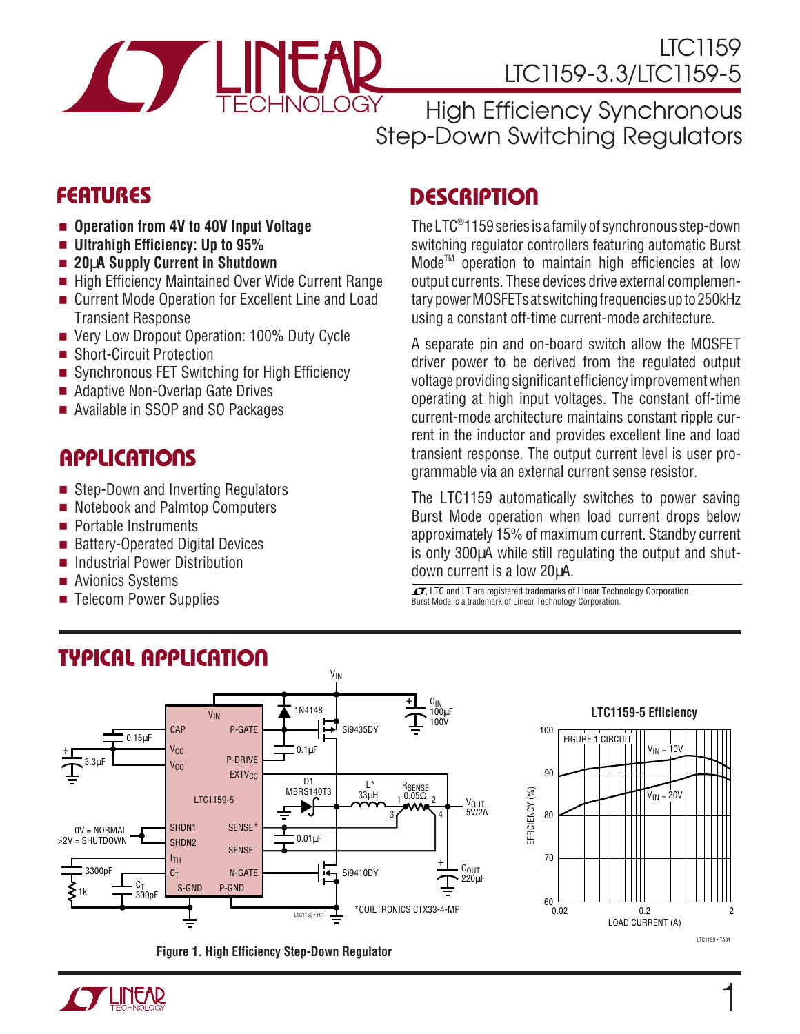

High Efficiency Synchronous Step-Down Switching Regulators

- **Operation from 4V to 40V Input Voltage**
- **Ultrahigh Efficiency: Up to 95%**
- **20**µ**A Supply Current in Shutdown**
- High Efficiency Maintained Over Wide Current Range
- Current Mode Operation for Excellent Line and Load Transient Response
- Very Low Dropout Operation: 100% Duty Cycle
- Short-Circuit Protection
- Synchronous FET Switching for High Efficiency
- Adaptive Non-Overlap Gate Drives
- Available in SSOP and SO Packages

### **APPLICATIONS**

- Step-Down and Inverting Regulators
- Notebook and Palmtop Computers
- Portable Instruments
- Battery-Operated Digital Devices
- Industrial Power Distribution
- Avionics Systems
- Telecom Power Supplies

### **DESCRIPTIO <sup>U</sup> FEATURES**

The LTC® 1159 series is a family of synchronous step-down switching regulator controllers featuring automatic Burst ModeTM operation to maintain high efficiencies at low output currents. These devices drive external complementary power MOSFETs at switching frequencies up to 250kHz using a constant off-time current-mode architecture.

A separate pin and on-board switch allow the MOSFET driver power to be derived from the regulated output voltage providing significant efficiency improvement when operating at high input voltages. The constant off-time current-mode architecture maintains constant ripple current in the inductor and provides excellent line and load transient response. The output current level is user programmable via an external current sense resistor.

The LTC1159 automatically switches to power saving Burst Mode operation when load current drops below approximately 15% of maximum current. Standby current is only 300µA while still regulating the output and shutdown current is a low 20µA.

Burst Mode is a trademark of Linear Technology Corporation.  $\overline{\mathcal{A}}$ , LTC and LT are registered trademarks of Linear Technology Corporation.



**Figure 1. High Efficiency Step-Down Regulator**



### **TYPICAL APPLICATION**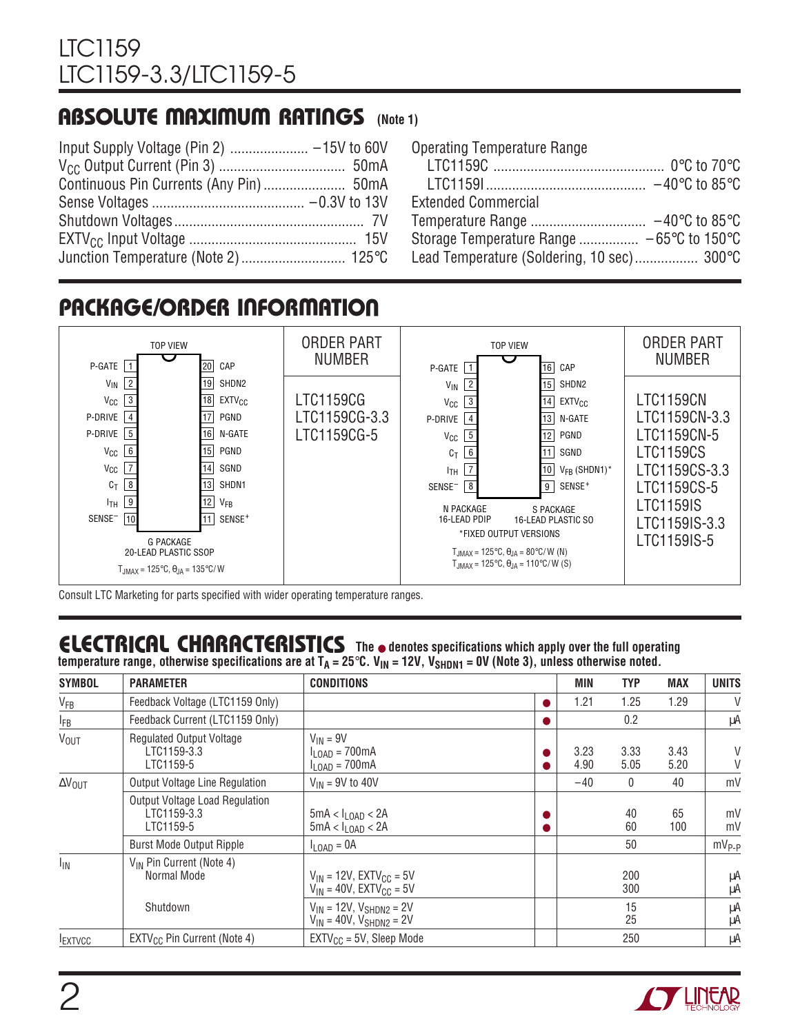### **ABSOLUTE MAXIMUM RATINGS** (Note 1)

| <b>Operating Temperature Range</b>         |  |
|--------------------------------------------|--|
|                                            |  |
|                                            |  |
| <b>Extended Commercial</b>                 |  |
|                                            |  |
|                                            |  |
| Lead Temperature (Soldering, 10 sec) 300°C |  |

### **PACKAGE/ORDER INFORMATION**



Consult LTC Marketing for parts specified with wider operating temperature ranges.

### **ELECTRICAL C C HARA TERISTICS The** ● **denotes specifications which apply over the full operating**

temperature range, otherwise specifications are at T<sub>A</sub> = 25°C. V<sub>IN</sub> = 12V, V<sub>SHDN1</sub> = 0V (Note 3), unless otherwise noted.

| <b>SYMBOL</b>           | <b>PARAMETER</b>                                            | <b>CONDITIONS</b>                                                                  |   | MIN          | <b>TYP</b>   | <b>MAX</b>   | <b>UNITS</b> |
|-------------------------|-------------------------------------------------------------|------------------------------------------------------------------------------------|---|--------------|--------------|--------------|--------------|
| $V_{FB}$                | Feedback Voltage (LTC1159 Only)                             |                                                                                    | D | 1.21         | 1.25         | 1.29         | V            |
| $I_{FB}$                | Feedback Current (LTC1159 Only)                             |                                                                                    |   |              | 0.2          |              | μA           |
| <b>V<sub>OUT</sub></b>  | <b>Regulated Output Voltage</b><br>LTC1159-3.3<br>LTC1159-5 | $V_{IN} = 9V$<br>$I_{\text{LOAD}}$ = 700mA<br>$I_{\text{LOAD}} = 700 \text{mA}$    |   | 3.23<br>4.90 | 3.33<br>5.05 | 3.43<br>5.20 | V<br>V       |
| $\Delta V_{\text{OUT}}$ | Output Voltage Line Regulation                              | $V_{IN}$ = 9V to 40V                                                               |   | $-40$        | $\mathbf{0}$ | 40           | mV           |
|                         | Output Voltage Load Regulation<br>LTC1159-3.3<br>LTC1159-5  | $5mA < I_{\text{LOAD}} < 2A$<br>$5mA < I_{LOAD} < 2A$                              |   |              | 40<br>60     | 65<br>100    | mV<br>mV     |
|                         | <b>Burst Mode Output Ripple</b>                             | $I_{LOAD} = 0A$                                                                    |   |              | 50           |              | $mV_{P-P}$   |
| $I_{IN}$                | V <sub>IN</sub> Pin Current (Note 4)<br>Normal Mode         | $V_{IN}$ = 12V, EXTV <sub>CC</sub> = 5V<br>$V_{IN}$ = 40V, EXTV <sub>CC</sub> = 5V |   |              | 200<br>300   |              | μA<br>μA     |
|                         | Shutdown                                                    | $V_{IN}$ = 12V, $V_{SHDN2}$ = 2V<br>$V_{IN} = 40V$ , $V_{SHDN2} = 2V$              |   |              | 15<br>25     |              | μA<br>μA     |
| <b>IEXTVCC</b>          | EXTV <sub>CC</sub> Pin Current (Note 4)                     | $EXTV_{CC} = 5V$ , Sleep Mode                                                      |   |              | 250          |              | μA           |

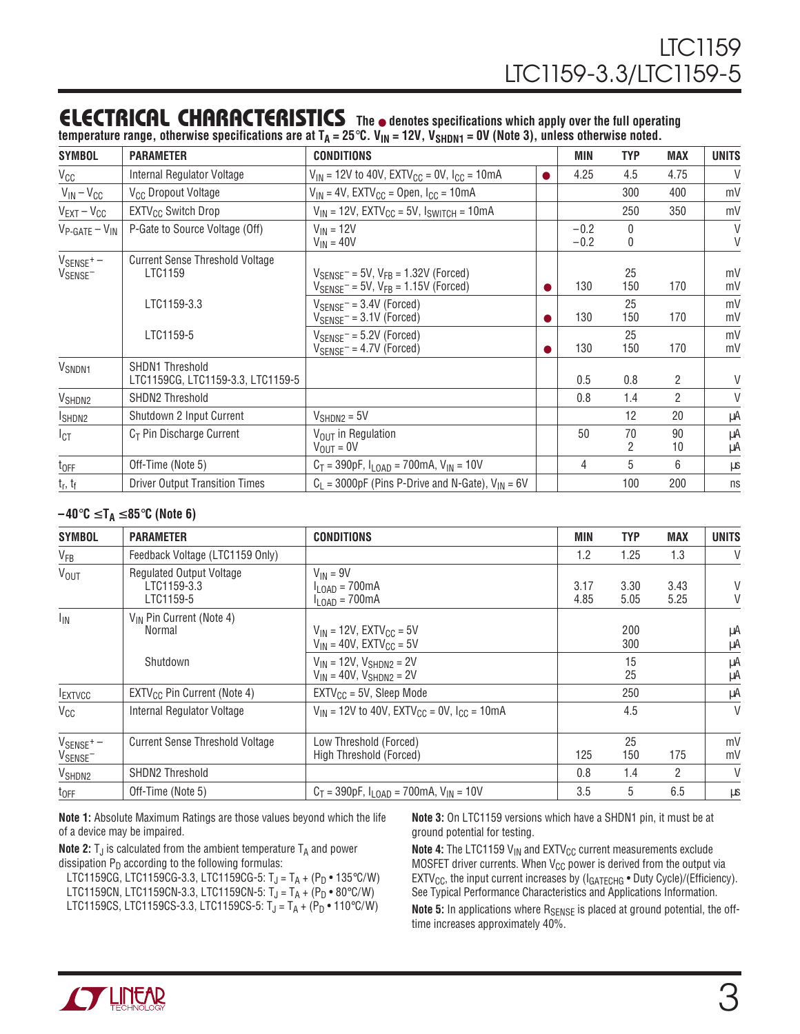#### **ELECTRICAL C C HARA TERISTICS The** ● **denotes specifications which apply over the full operating** temperature range, otherwise specifications are at T<sub>A</sub> = 25°C. V<sub>IN</sub> = 12V, V<sub>SHDN1</sub> = 0V (Note 3), unless otherwise noted.

| <b>SYMBOL</b>                                               | <b>PARAMETER</b>                                            | <b>CONDITIONS</b>                                                                                                      |   | MIN              | <b>TYP</b> | <b>MAX</b>     | <b>UNITS</b> |
|-------------------------------------------------------------|-------------------------------------------------------------|------------------------------------------------------------------------------------------------------------------------|---|------------------|------------|----------------|--------------|
| $V_{CC}$                                                    | Internal Regulator Voltage                                  | $V_{IN}$ = 12V to 40V, EXTV <sub>CC</sub> = 0V, I <sub>CC</sub> = 10mA                                                 | 0 | 4.25             | 4.5        | 4.75           | $\vee$       |
| $V_{IN} - V_{CC}$                                           | V <sub>CC</sub> Dropout Voltage                             | $V_{IN}$ = 4V, EXTV <sub>CC</sub> = Open, I <sub>CC</sub> = 10mA                                                       |   |                  | 300        | 400            | mV           |
| $V_{EXT}-V_{CC}$                                            | EXTV <sub>CC</sub> Switch Drop                              | $V_{IN}$ = 12V, EXTV <sub>CC</sub> = 5V, $I_{SWITCH}$ = 10mA                                                           |   |                  | 250        | 350            | mV           |
| $V_{P\text{-GATE}} - V_{IN}$                                | P-Gate to Source Voltage (Off)                              | $V_{IN}$ = 12V<br>$V_{IN}$ = 40V                                                                                       |   | $-0.2$<br>$-0.2$ | 0<br>0     |                | $\vee$<br>V  |
| $V_{\text{SENSE}}$ <sup>+</sup> $-$<br>V <sub>SENSE</sub> - | <b>Current Sense Threshold Voltage</b><br>LTC1159           | $V_{\text{SENSE}}$ = 5V, $V_{\text{FB}}$ = 1.32V (Forced)<br>$V_{\text{SENSE}}$ = 5V, $V_{\text{FB}}$ = 1.15V (Forced) |   | 130              | 25<br>150  | 170            | mV<br>mV     |
|                                                             | LTC1159-3.3                                                 | $V_{SENSE}$ = 3.4V (Forced)<br>$V_{\text{SENSE}}$ = 3.1V (Forced)                                                      |   | 130              | 25<br>150  | 170            | mV<br>mV     |
|                                                             | LTC1159-5                                                   | $V_{\text{SENSE}}$ = 5.2V (Forced)<br>$V_{\text{SENSE}}$ = 4.7V (Forced)                                               |   | 130              | 25<br>150  | 170            | mV<br>mV     |
| V <sub>SNDN1</sub>                                          | <b>SHDN1 Threshold</b><br>LTC1159CG, LTC1159-3.3, LTC1159-5 |                                                                                                                        |   | 0.5              | 0.8        | $\overline{2}$ | V            |
| V <sub>SHDN2</sub>                                          | <b>SHDN2 Threshold</b>                                      |                                                                                                                        |   | 0.8              | 1.4        | $\overline{2}$ | V            |
| ISHDN2                                                      | Shutdown 2 Input Current                                    | $V_{SHDN2} = 5V$                                                                                                       |   |                  | 12         | 20             | μA           |
| $I_{\text{CT}}$                                             | $C_T$ Pin Discharge Current                                 | $V_{\text{OUT}}$ in Regulation<br>$V_{OUT} = 0V$                                                                       |   | 50               | 70<br>2    | 90<br>10       | μA<br>μA     |
| $t_{OFF}$                                                   | Off-Time (Note 5)                                           | $C_T = 390pF$ , $I_{LOAD} = 700mA$ , $V_{IN} = 10V$                                                                    |   | 4                | 5          | 6              | μs           |
| $t_r, t_f$                                                  | <b>Driver Output Transition Times</b>                       | $C_1$ = 3000pF (Pins P-Drive and N-Gate), $V_{IN}$ = 6V                                                                |   |                  | 100        | 200            | ns           |

#### **–40**°**C** ≤ **TA** ≤ **85**°**C (Note 6)**

| <b>SYMBOL</b>                                               | <b>PARAMETER</b>                                            | <b>CONDITIONS</b>                                                                  | <b>MIN</b>   | <b>TYP</b>   | <b>MAX</b>   | <b>UNITS</b> |
|-------------------------------------------------------------|-------------------------------------------------------------|------------------------------------------------------------------------------------|--------------|--------------|--------------|--------------|
| $V_{FB}$                                                    | Feedback Voltage (LTC1159 Only)                             |                                                                                    | 1.2          | 1.25         | 1.3          | $\vee$       |
| <b>V<sub>OUT</sub></b>                                      | <b>Regulated Output Voltage</b><br>LTC1159-3.3<br>LTC1159-5 | $V_{IN} = 9V$<br>$I_{\text{LOAD}} = 700 \text{mA}$<br>$I_{LOAD} = 700mA$           | 3.17<br>4.85 | 3.30<br>5.05 | 3.43<br>5.25 | V<br>V       |
| $I_{IN}$                                                    | V <sub>IN</sub> Pin Current (Note 4)<br><b>Normal</b>       | $V_{IN}$ = 12V, EXTV <sub>CC</sub> = 5V<br>$V_{IN}$ = 40V, EXTV <sub>CC</sub> = 5V |              | 200<br>300   |              | μA<br>μA     |
|                                                             | Shutdown                                                    | $V_{IN}$ = 12V, $V_{SHDNS}$ = 2V<br>$V_{IN} = 40V$ , $V_{SHDN2} = 2V$              |              | 15<br>25     |              | μA<br>μA     |
| <b>IEXTVCC</b>                                              | $EXTV_{CC}$ Pin Current (Note 4)                            | $EXTV_{CC} = 5V$ , Sleep Mode                                                      |              | 250          |              | μA           |
| $V_{CC}$                                                    | Internal Regulator Voltage                                  | $V_{IN}$ = 12V to 40V, EXTV <sub>CC</sub> = 0V, I <sub>CC</sub> = 10mA             |              | 4.5          |              | $\vee$       |
| $V_{\text{SENSE}}$ <sup>+</sup> $-$<br>V <sub>SENSE</sub> - | <b>Current Sense Threshold Voltage</b>                      | Low Threshold (Forced)<br>High Threshold (Forced)                                  | 125          | 25<br>150    | 175          | mV<br>mV     |
| V <sub>SHDN2</sub>                                          | <b>SHDN2 Threshold</b>                                      |                                                                                    | 0.8          | 1.4          | 2            | V            |
| $t_{OFF}$                                                   | Off-Time (Note 5)                                           | $C_T = 390pF$ , $I_{LOAD} = 700mA$ , $V_{IN} = 10V$                                | 3.5          | 5            | 6.5          | μS           |

**Note 1:** Absolute Maximum Ratings are those values beyond which the life of a device may be impaired.

**Note 2:**  $T_J$  is calculated from the ambient temperature  $T_A$  and power dissipation  $P_D$  according to the following formulas:

LTC1159CG, LTC1159CG-3.3, LTC1159CG-5:  $T_J = T_A + (P_D \cdot 135^{\circ}C/W)$ LTC1159CN, LTC1159CN-3.3, LTC1159CN-5:  $T_J = T_A + (P_D \cdot 80^{\circ} C/W)$ LTC1159CS, LTC1159CS-3.3, LTC1159CS-5:  $T_J = T_A + (P_D \cdot 110\degree C/W)$ 

**Note 3:** On LTC1159 versions which have a SHDN1 pin, it must be at ground potential for testing.

**Note 4:** The LTC1159 V<sub>IN</sub> and EXTV<sub>CC</sub> current measurements exclude MOSFET driver currents. When  $V_{CC}$  power is derived from the output via EXTV<sub>CC</sub>, the input current increases by  $(I_{GATECHG} \cdot$  Duty Cycle)/(Efficiency). See Typical Performance Characteristics and Applications Information.

**Note 5:** In applications where R<sub>SENSE</sub> is placed at ground potential, the offtime increases approximately 40%.

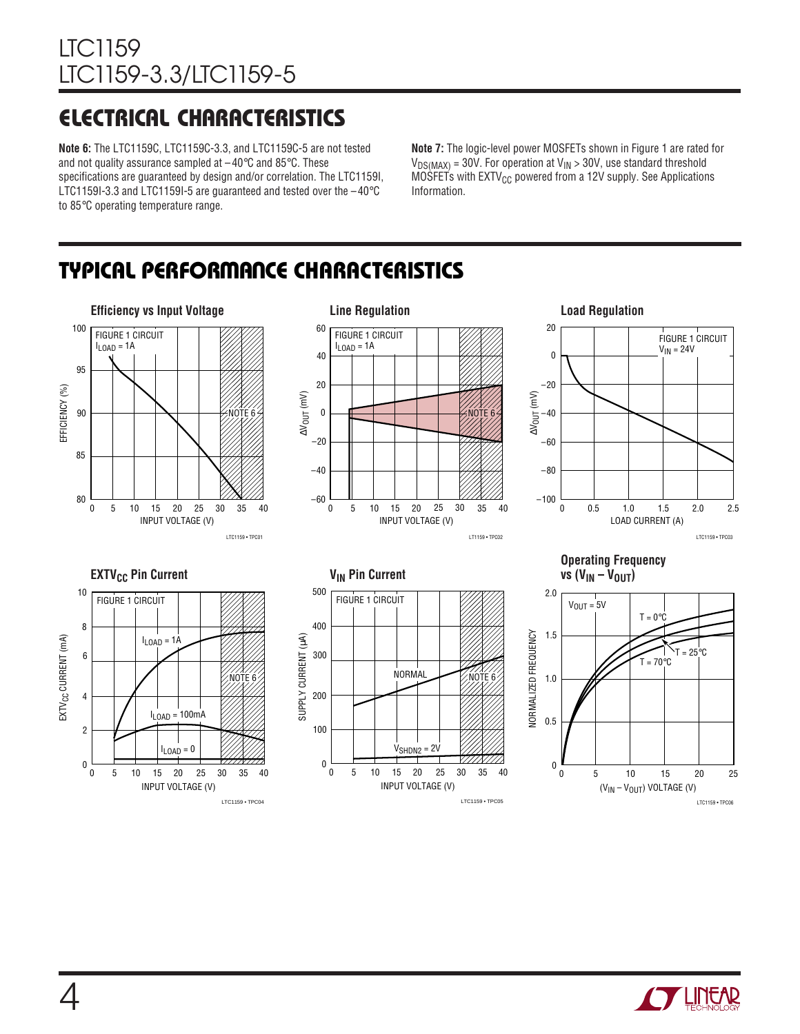## **ELECTRICAL CHARACTERISTICS**

**Note 6:** The LTC1159C, LTC1159C-3.3, and LTC1159C-5 are not tested and not quality assurance sampled at  $-40^{\circ}$ C and 85 $^{\circ}$ C. These specifications are guaranteed by design and/or correlation. The LTC1159I, LTC1159I-3.3 and LTC1159I-5 are guaranteed and tested over the  $-40^{\circ}$ C to 85°C operating temperature range.

**Note 7:** The logic-level power MOSFETs shown in Figure 1 are rated for  $V_{DS(MAX)} = 30V$ . For operation at  $V_{IN} > 30V$ , use standard threshold  $MO\overline{S}$  FETs with EXTV<sub>CC</sub> powered from a 12V supply. See Applications Information.

### **TYPICAL PERFORMANCE CHARACTERISTICS**



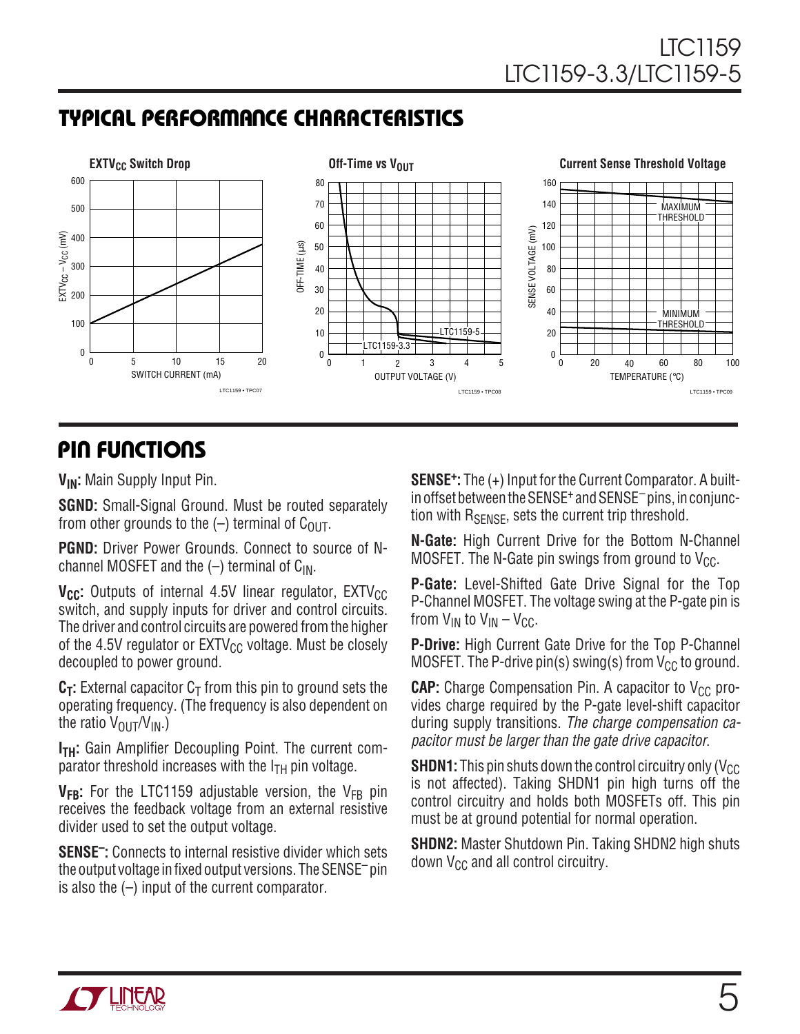### **TYPICAL PERFORMANCE CHARACTERISTICS**



### **PIN FUNCTIONS**

**VIN:** Main Supply Input Pin.

**SGND:** Small-Signal Ground. Must be routed separately from other grounds to the  $(-)$  terminal of C<sub>OUT</sub>.

**PGND:** Driver Power Grounds. Connect to source of Nchannel MOSFET and the  $(-)$  terminal of C<sub>IN</sub>.

**V<sub>CC</sub>:** Outputs of internal 4.5V linear regulator, EXTV<sub>CC</sub> switch, and supply inputs for driver and control circuits. The driver and control circuits are powered from the higher of the 4.5V regulator or  $EXTV_{CC}$  voltage. Must be closely decoupled to power ground.

 $C_T$ : External capacitor  $C_T$  from this pin to ground sets the operating frequency. (The frequency is also dependent on the ratio  $V_{\text{OUT}}/V_{\text{IN}}$ .)

**I<sub>TH</sub>:** Gain Amplifier Decoupling Point. The current comparator threshold increases with the  $I<sub>TH</sub>$  pin voltage.

V<sub>FB</sub>: For the LTC1159 adjustable version, the V<sub>FB</sub> pin receives the feedback voltage from an external resistive divider used to set the output voltage.

**SENSE–:** Connects to internal resistive divider which sets the output voltage in fixed output versions. The SENSE– pin is also the  $(-)$  input of the current comparator.

**SENSE+:** The (+) Input for the Current Comparator. A builtin offset between the SENSE<sup>+</sup> and SENSE<sup>-</sup> pins, in conjunction with  $R_{\text{SFNSF}}$ , sets the current trip threshold.

**N-Gate:** High Current Drive for the Bottom N-Channel MOSFET. The N-Gate pin swings from ground to  $V_{CC}$ .

**P-Gate:** Level-Shifted Gate Drive Signal for the Top P-Channel MOSFET. The voltage swing at the P-gate pin is from  $V_{IN}$  to  $V_{IN} - V_{CC}$ .

**P-Drive:** High Current Gate Drive for the Top P-Channel MOSFET. The P-drive pin(s) swing(s) from  $V_{CC}$  to ground.

**CAP:** Charge Compensation Pin. A capacitor to V<sub>CC</sub> provides charge required by the P-gate level-shift capacitor during supply transitions. The charge compensation capacitor must be larger than the gate drive capacitor.

**SHDN1:** This pin shuts down the control circuitry only ( $V_{CC}$ is not affected). Taking SHDN1 pin high turns off the control circuitry and holds both MOSFETs off. This pin must be at ground potential for normal operation.

**SHDN2:** Master Shutdown Pin. Taking SHDN2 high shuts down  $V_{CC}$  and all control circuitry.

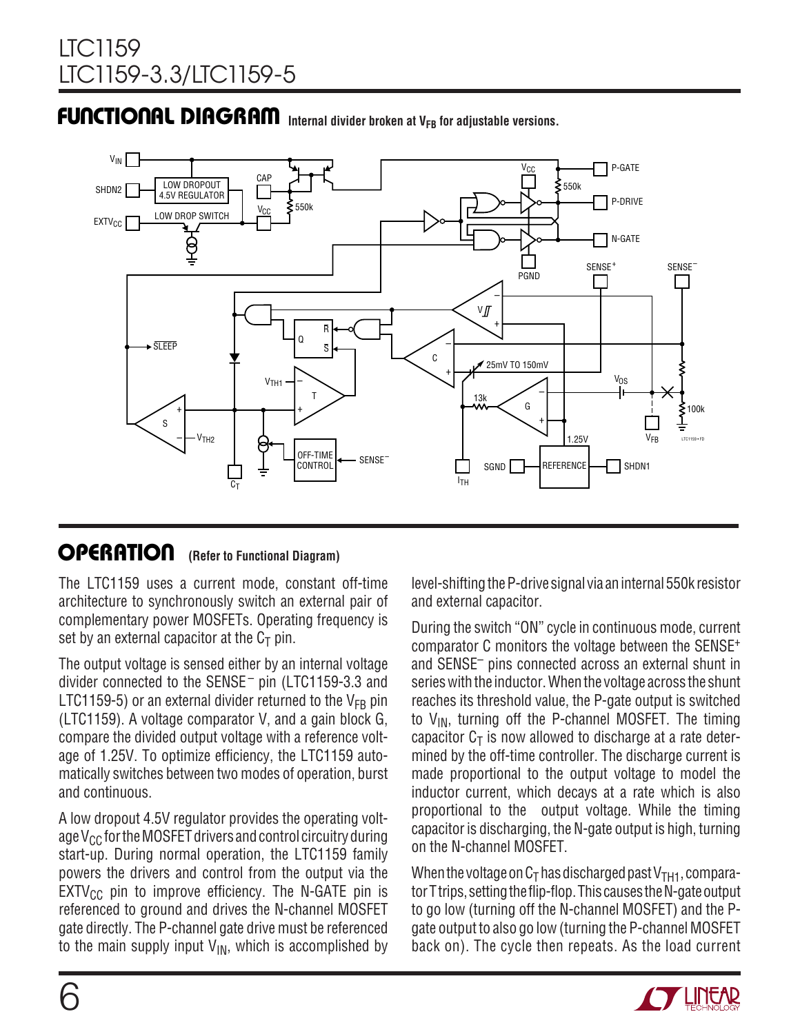# **INTERNAL DIAGRAM** Internal divider broken at V<sub>FB</sub> for adjustable versions.



#### **OPERATIO (Refer to Functional Diagram) OPERATION**

The LTC1159 uses a current mode, constant off-time architecture to synchronously switch an external pair of complementary power MOSFETs. Operating frequency is set by an external capacitor at the  $C_T$  pin.

The output voltage is sensed either by an internal voltage divider connected to the SENSE– pin (LTC1159-3.3 and LTC1159-5) or an external divider returned to the  $V_{FB}$  pin (LTC1159). A voltage comparator V, and a gain block G, compare the divided output voltage with a reference voltage of 1.25V. To optimize efficiency, the LTC1159 automatically switches between two modes of operation, burst and continuous.

A low dropout 4.5V regulator provides the operating voltage  $V_{CC}$  for the MOSFET drivers and control circuitry during start-up. During normal operation, the LTC1159 family powers the drivers and control from the output via the  $EXTV_{CC}$  pin to improve efficiency. The N-GATE pin is referenced to ground and drives the N-channel MOSFET gate directly. The P-channel gate drive must be referenced to the main supply input  $V_{IN}$ , which is accomplished by level-shifting the P-drive signal via an internal 550k resistor and external capacitor.

During the switch "ON" cycle in continuous mode, current comparator C monitors the voltage between the SENSE+ and SENSE– pins connected across an external shunt in series with the inductor. When the voltage across the shunt reaches its threshold value, the P-gate output is switched to  $V_{IN}$ , turning off the P-channel MOSFET. The timing capacitor  $C_T$  is now allowed to discharge at a rate determined by the off-time controller. The discharge current is made proportional to the output voltage to model the inductor current, which decays at a rate which is also proportional to the output voltage. While the timing capacitor is discharging, the N-gate output is high, turning on the N-channel MOSFET.

When the voltage on  $C_T$  has discharged past  $V_{TH1}$ , comparator T trips, setting the flip-flop. This causes the N-gate output to go low (turning off the N-channel MOSFET) and the Pgate output to also go low (turning the P-channel MOSFET back on). The cycle then repeats. As the load current

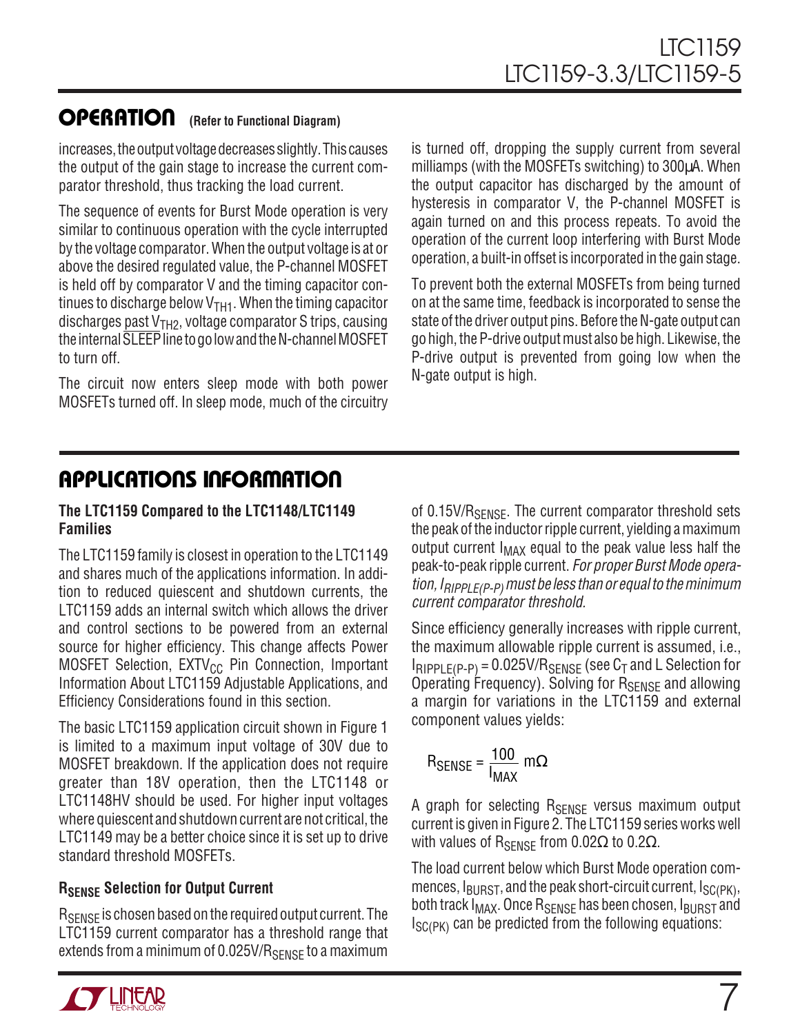#### **OPERATIO (Refer to Functional Diagram) u**

increases, the output voltage decreases slightly. This causes the output of the gain stage to increase the current comparator threshold, thus tracking the load current.

The sequence of events for Burst Mode operation is very similar to continuous operation with the cycle interrupted by the voltage comparator. When the output voltage is at or above the desired regulated value, the P-channel MOSFET is held off by comparator V and the timing capacitor continues to discharge below  $V<sub>TH1</sub>$ . When the timing capacitor discharges past  $V<sub>TH2</sub>$ , voltage comparator S trips, causing the internal SLEEP line to go low and the N-channel MOSFET to turn off.

The circuit now enters sleep mode with both power MOSFETs turned off. In sleep mode, much of the circuitry is turned off, dropping the supply current from several milliamps (with the MOSFETs switching) to 300µA. When the output capacitor has discharged by the amount of hysteresis in comparator V, the P-channel MOSFET is again turned on and this process repeats. To avoid the operation of the current loop interfering with Burst Mode operation, a built-in offset is incorporated in the gain stage.

To prevent both the external MOSFETs from being turned on at the same time, feedback is incorporated to sense the state of the driver output pins. Before the N-gate output can go high, the P-drive output must also be high. Likewise, the P-drive output is prevented from going low when the N-gate output is high.

### **APPLICATIONS INFORMATION**

#### **The LTC1159 Compared to the LTC1148/LTC1149 Families**

The LTC1159 family is closest in operation to the LTC1149 and shares much of the applications information. In addition to reduced quiescent and shutdown currents, the LTC1159 adds an internal switch which allows the driver and control sections to be powered from an external source for higher efficiency. This change affects Power MOSFET Selection, EXTV<sub>CC</sub> Pin Connection, Important Information About LTC1159 Adjustable Applications, and Efficiency Considerations found in this section.

The basic LTC1159 application circuit shown in Figure 1 is limited to a maximum input voltage of 30V due to MOSFET breakdown. If the application does not require greater than 18V operation, then the LTC1148 or LTC1148HV should be used. For higher input voltages where quiescent and shutdown current are not critical, the LTC1149 may be a better choice since it is set up to drive standard threshold MOSFETs.

#### **RSENSE Selection for Output Current**

R<sub>SENSE</sub> is chosen based on the required output current. The LTC1159 current comparator has a threshold range that extends from a minimum of  $0.025$ V/R<sub>SENSE</sub> to a maximum

of 0.15V/R<sub>SENSE</sub>. The current comparator threshold sets the peak of the inductor ripple current, yielding a maximum output current  $I_{MAX}$  equal to the peak value less half the peak-to-peak ripple current. For proper Burst Mode operation,  $I_{RIPPI F(P-P)}$  must be less than or equal to the minimum current comparator threshold.

Since efficiency generally increases with ripple current, the maximum allowable ripple current is assumed, i.e.,  $I_{RIPPI F(P-P)} = 0.025 V/R_{SENSF}$  (see  $C_T$  and L Selection for Operating Frequency). Solving for  $R_{\text{SENSE}}$  and allowing a margin for variations in the LTC1159 and external component values yields:

$$
R_{\text{SENSE}} = \frac{100}{I_{\text{MAX}}} \, \text{m}\Omega
$$

A graph for selecting R<sub>SENSE</sub> versus maximum output current is given in Figure 2. The LTC1159 series works well with values of  $R_{\text{SENSF}}$  from 0.02Ω to 0.2Ω.

The load current below which Burst Mode operation commences,  $I_{\text{BURST}}$ , and the peak short-circuit current,  $I_{\text{SC(PK)}}$ , both track  $I_{MAX}$ . Once  $R_{SENSE}$  has been chosen,  $I_{BURST}$  and  $I_{SC(PK)}$  can be predicted from the following equations:

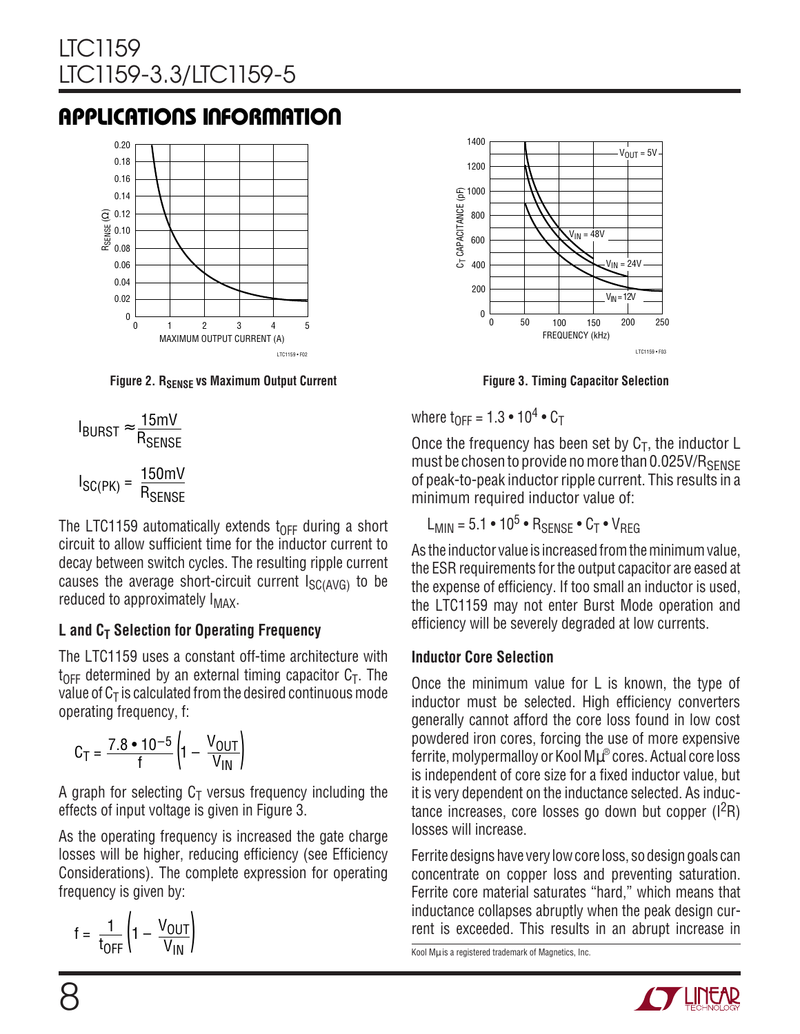### **APPLICATIONS INFORMATION**



**Figure 2. RSENSE VS Maximum Output Current** 

$$
I_{\text{BURST}} \approx \frac{15 \text{mV}}{R_{\text{SENSE}}}
$$

$$
I_{\text{SC(PK)}} = \frac{150 \text{mV}}{R_{\text{SENSE}}}
$$

The LTC1159 automatically extends  $t_{\text{OFF}}$  during a short circuit to allow sufficient time for the inductor current to decay between switch cycles. The resulting ripple current causes the average short-circuit current  $I_{SC(AVG)}$  to be reduced to approximately  $I_{MAX}$ .

### **L** and C<sub>T</sub> Selection for Operating Frequency

The LTC1159 uses a constant off-time architecture with  $t_{\text{OFF}}$  determined by an external timing capacitor  $C_{\text{T}}$ . The value of  $C_T$  is calculated from the desired continuous mode operating frequency, f:

$$
C_T = \frac{7.8 \cdot 10^{-5}}{f} \left( 1 - \frac{V_{OUT}}{V_{IN}} \right)
$$

A graph for selecting  $C_T$  versus frequency including the effects of input voltage is given in Figure 3.

As the operating frequency is increased the gate charge losses will be higher, reducing efficiency (see Efficiency Considerations). The complete expression for operating frequency is given by:

$$
f = \frac{1}{t_{OFF}} \left( 1 - \frac{V_{OUT}}{V_{IN}} \right)
$$



**Figure 3. Timing Capacitor Selection**

where  $t_{\text{DEF}} = 1.3 \cdot 10^4 \cdot C_{\text{T}}$ 

Once the frequency has been set by  $C_T$ , the inductor L must be chosen to provide no more than 0.025V/RSENSE of peak-to-peak inductor ripple current. This results in a minimum required inductor value of:

$$
L_{MIN} = 5.1 \cdot 10^5 \cdot R_{SENSE} \cdot C_T \cdot V_{REG}
$$

As the inductor value is increased from the minimum value, the ESR requirements for the output capacitor are eased at the expense of efficiency. If too small an inductor is used, the LTC1159 may not enter Burst Mode operation and efficiency will be severely degraded at low currents.

#### **Inductor Core Selection**

Once the minimum value for L is known, the type of inductor must be selected. High efficiency converters generally cannot afford the core loss found in low cost powdered iron cores, forcing the use of more expensive ferrite, molypermalloy or Kool M $\mu^\circ$  cores. Actual core loss is independent of core size for a fixed inductor value, but it is very dependent on the inductance selected. As inductance increases, core losses go down but copper  $(1^2R)$ losses will increase.

Ferrite designs have very low core loss, so design goals can concentrate on copper loss and preventing saturation. Ferrite core material saturates "hard," which means that inductance collapses abruptly when the peak design current is exceeded. This results in an abrupt increase in

Kool Mµ is a registered trademark of Magnetics, Inc.

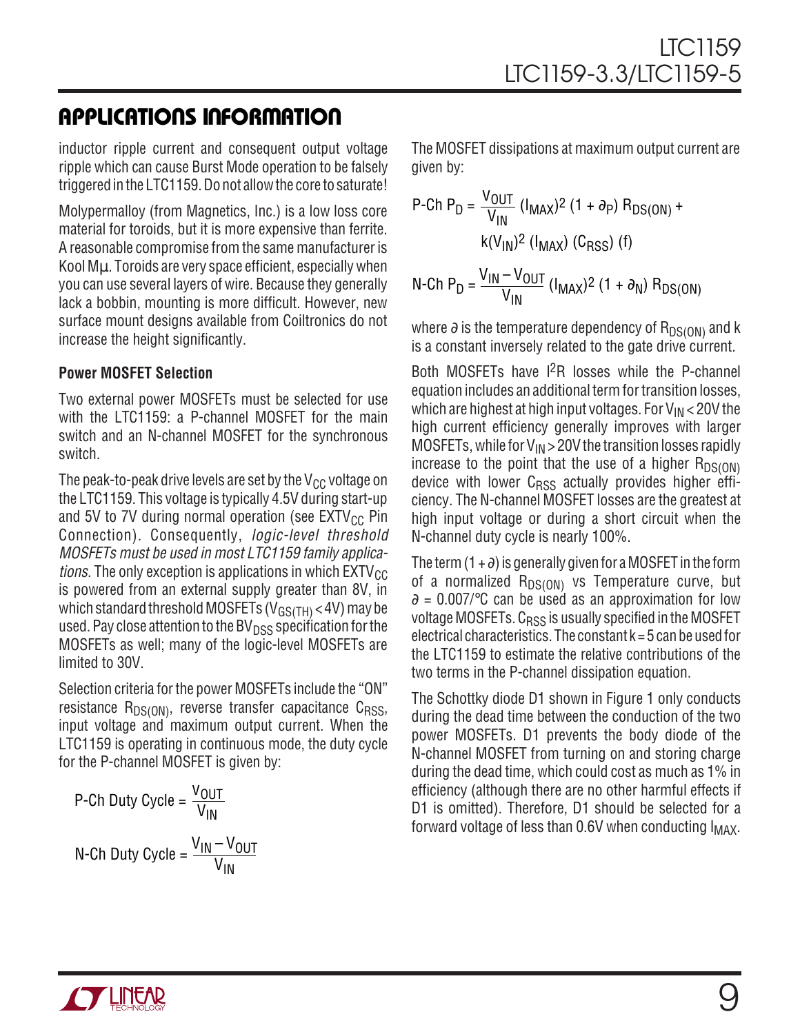### **APPLICATIO S I FOR ATIO W U U U**

inductor ripple current and consequent output voltage ripple which can cause Burst Mode operation to be falsely triggered in the LTC1159. Do not allow the core to saturate!

Molypermalloy (from Magnetics, Inc.) is a low loss core material for toroids, but it is more expensive than ferrite. A reasonable compromise from the same manufacturer is Kool Mµ. Toroids are very space efficient, especially when you can use several layers of wire. Because they generally lack a bobbin, mounting is more difficult. However, new surface mount designs available from Coiltronics do not increase the height significantly.

#### **Power MOSFET Selection**

Two external power MOSFETs must be selected for use with the LTC1159: a P-channel MOSFET for the main switch and an N-channel MOSFET for the synchronous switch.

The peak-to-peak drive levels are set by the  $V_{CC}$  voltage on the LTC1159. This voltage is typically 4.5V during start-up and 5V to 7V during normal operation (see  $EXTV_{CC}$  Pin Connection). Consequently, logic-level threshold MOSFETs must be used in most LTC1159 family applica*tions*. The only exception is applications in which  $EXTV_{CC}$ is powered from an external supply greater than 8V, in which standard threshold MOSFETs (V<sub>GS(TH)</sub> < 4V) may be used. Pay close attention to the BV $_{\text{DSS}}$  specification for the MOSFETs as well; many of the logic-level MOSFETs are limited to 30V.

Selection criteria for the power MOSFETs include the "ON" resistance  $R_{DS(ON)}$ , reverse transfer capacitance  $C_{RSS}$ , input voltage and maximum output current. When the LTC1159 is operating in continuous mode, the duty cycle for the P-channel MOSFET is given by:

P-Ch Duty Cycle = 
$$
\frac{V_{OUT}}{V_{IN}}
$$
  
N-Ch Duty Cycle =  $\frac{V_{IN} - V_{OUT}}{V_{IN}}$ 

The MOSFET dissipations at maximum output current are given by:

P-Ch P<sub>D</sub> = 
$$
\frac{V_{OUT}}{V_{IN}}
$$
 (I<sub>MAX</sub>)<sup>2</sup> (1 +  $\partial$ p) R<sub>DS(ON)</sub> +  
\nk(V<sub>IN</sub>)<sup>2</sup> (I<sub>MAX</sub>) (C<sub>RSS</sub>) (f)  
\nN-Ch P<sub>D</sub> =  $\frac{V_{IN} - V_{OUT}}{V_{IV} - V_{OUT}}$  (I<sub>1</sub>, Y<sub>2</sub>) (1 +  $\partial$ ) R<sub>DC(2</sub>)

N-Ch P<sub>D</sub> = 
$$
\frac{V_{IN} - V_{OUT}}{V_{IN}}
$$
 (1<sub>MAX</sub>)<sup>2</sup> (1 +  $\partial$ <sub>N</sub>) R<sub>DS(ON)</sub>

where  $\partial$  is the temperature dependency of R<sub>DS(ON)</sub> and k is a constant inversely related to the gate drive current.

Both MOSFETs have  $1^2R$  losses while the P-channel equation includes an additional term for transition losses, which are highest at high input voltages. For  $V_{IN}$  < 20V the high current efficiency generally improves with larger MOSFETs, while for  $V_{IN}$  > 20V the transition losses rapidly increase to the point that the use of a higher  $R_{DS(ON)}$ device with lower  $C<sub>RSS</sub>$  actually provides higher efficiency. The N-channel MOSFET losses are the greatest at high input voltage or during a short circuit when the N-channel duty cycle is nearly 100%.

The term  $(1 + \partial)$  is generally given for a MOSFET in the form of a normalized  $R_{DS(ON)}$  vs Temperature curve, but  $\partial = 0.007$ /°C can be used as an approximation for low voltage MOSFETs. C<sub>RSS</sub> is usually specified in the MOSFET electrical characteristics. The constant  $k = 5$  can be used for the LTC1159 to estimate the relative contributions of the two terms in the P-channel dissipation equation.

The Schottky diode D1 shown in Figure 1 only conducts during the dead time between the conduction of the two power MOSFETs. D1 prevents the body diode of the N-channel MOSFET from turning on and storing charge during the dead time, which could cost as much as 1% in efficiency (although there are no other harmful effects if D1 is omitted). Therefore, D1 should be selected for a forward voltage of less than  $0.6V$  when conducting  $I_{MAX}$ .

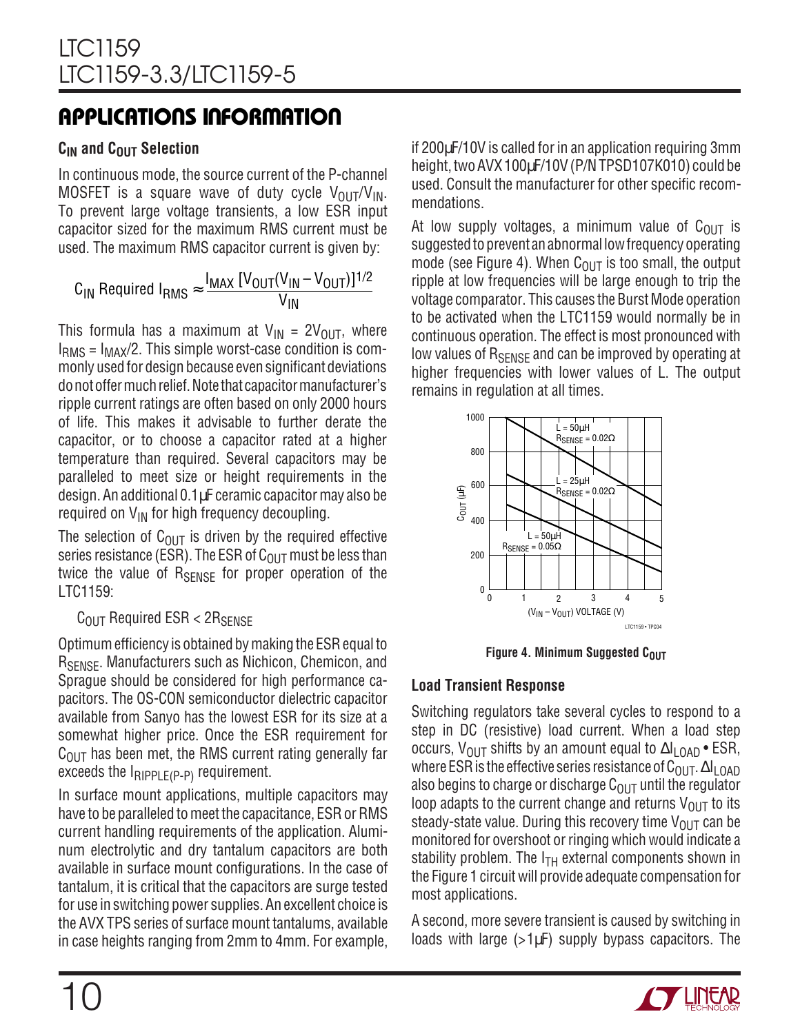#### **C<sub>IN</sub>** and C<sub>OUT</sub> Selection

In continuous mode, the source current of the P-channel MOSFET is a square wave of duty cycle  $V_{\text{OUT}}/V_{\text{IN}}$ . To prevent large voltage transients, a low ESR input capacitor sized for the maximum RMS current must be used. The maximum RMS capacitor current is given by:

$$
C_{IN} \text{ Required } I_{RMS} \approx \frac{I_{MAX} [V_{OUT}(V_{IN} - V_{OUT})]^{1/2}}{V_{IN}}
$$

This formula has a maximum at  $V_{IN} = 2V_{OUT}$ , where  $I<sub>RMS</sub> = I<sub>MAX</sub>/2$ . This simple worst-case condition is commonly used for design because even significant deviations do not offer much relief. Note that capacitor manufacturer's ripple current ratings are often based on only 2000 hours of life. This makes it advisable to further derate the capacitor, or to choose a capacitor rated at a higher temperature than required. Several capacitors may be paralleled to meet size or height requirements in the design. An additional 0.1µF ceramic capacitor may also be required on  $V_{IN}$  for high frequency decoupling.

The selection of  $C_{\text{OUT}}$  is driven by the required effective series resistance (ESR). The ESR of  $C_{OUT}$  must be less than twice the value of  $R_{\text{SENSE}}$  for proper operation of the LTC1159:

#### $C_{\text{OUT}}$  Required ESR < 2 $R_{\text{SFNSF}}$

Optimum efficiency is obtained by making the ESR equal to R<sub>SENSE</sub>. Manufacturers such as Nichicon, Chemicon, and Sprague should be considered for high performance capacitors. The OS-CON semiconductor dielectric capacitor available from Sanyo has the lowest ESR for its size at a somewhat higher price. Once the ESR requirement for  $C<sub>OUT</sub>$  has been met, the RMS current rating generally far exceeds the  $I_{RIPPLE(P-P)}$  requirement.

In surface mount applications, multiple capacitors may have to be paralleled to meet the capacitance, ESR or RMS current handling requirements of the application. Aluminum electrolytic and dry tantalum capacitors are both available in surface mount configurations. In the case of tantalum, it is critical that the capacitors are surge tested for use in switching power supplies. An excellent choice is the AVX TPS series of surface mount tantalums, available in case heights ranging from 2mm to 4mm. For example, if 200µF/10V is called for in an application requiring 3mm height, two AVX 100µF/10V (P/N TPSD107K010) could be used. Consult the manufacturer for other specific recommendations.

At low supply voltages, a minimum value of  $C_{\text{OUT}}$  is suggested to prevent an abnormal low frequency operating mode (see Figure 4). When  $C_{OUT}$  is too small, the output ripple at low frequencies will be large enough to trip the voltage comparator. This causes the Burst Mode operation to be activated when the LTC1159 would normally be in continuous operation. The effect is most pronounced with low values of  $R_{\text{SFNSF}}$  and can be improved by operating at higher frequencies with lower values of L. The output remains in regulation at all times.



**Figure 4. Minimum Suggested COUT** 

#### **Load Transient Response**

Switching regulators take several cycles to respond to a step in DC (resistive) load current. When a load step occurs, V<sub>OUT</sub> shifts by an amount equal to  $\Delta I_{LOAD}$  • ESR, where ESR is the effective series resistance of C<sub>OUT</sub>.  $\Delta I_{\text{LOAD}}$ also begins to charge or discharge  $C_{\text{OUT}}$  until the regulator loop adapts to the current change and returns  $V_{\text{OUT}}$  to its steady-state value. During this recovery time  $V_{\text{OUT}}$  can be monitored for overshoot or ringing which would indicate a stability problem. The  $I<sub>TH</sub>$  external components shown in the Figure 1 circuit will provide adequate compensation for most applications.

A second, more severe transient is caused by switching in loads with large  $(>1\mu$ F) supply bypass capacitors. The

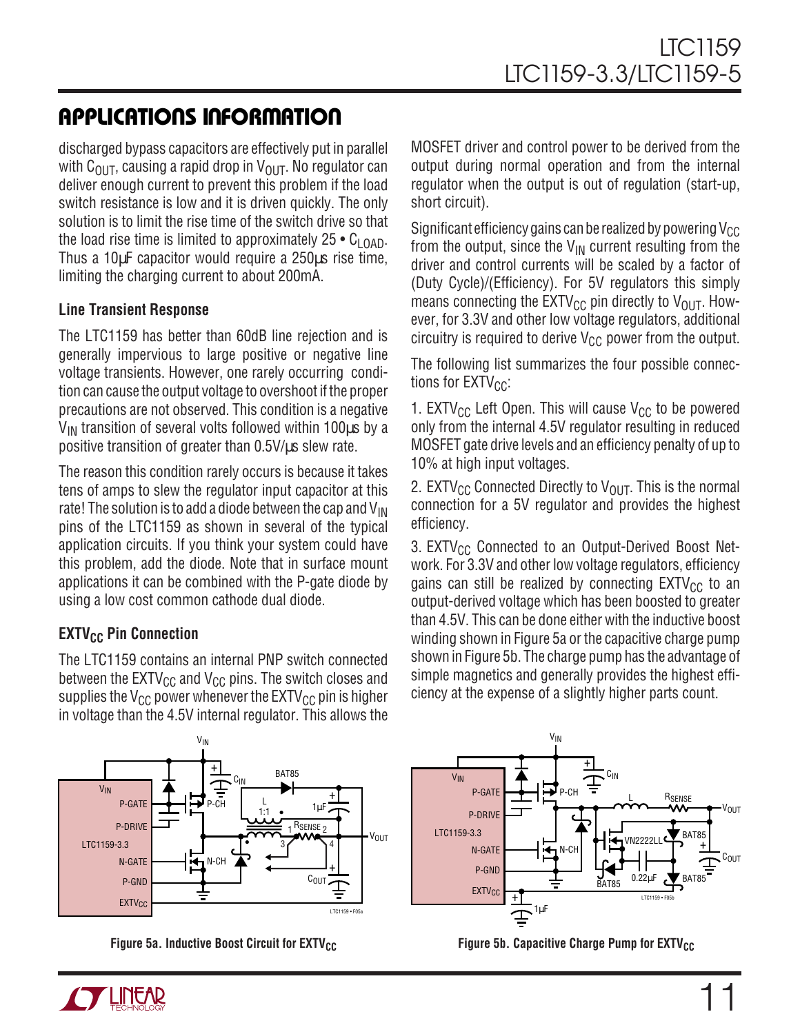discharged bypass capacitors are effectively put in parallel with  $C_{\text{OUT}}$ , causing a rapid drop in  $V_{\text{OUT}}$ . No regulator can deliver enough current to prevent this problem if the load switch resistance is low and it is driven quickly. The only solution is to limit the rise time of the switch drive so that the load rise time is limited to approximately  $25 \cdot C_{\text{LOAD}}$ . Thus a 10µF capacitor would require a 250µs rise time, limiting the charging current to about 200mA.

#### **Line Transient Response**

The LTC1159 has better than 60dB line rejection and is generally impervious to large positive or negative line voltage transients. However, one rarely occurring condition can cause the output voltage to overshoot if the proper precautions are not observed. This condition is a negative  $V_{IN}$  transition of several volts followed within 100 $\mu$ s by a positive transition of greater than 0.5V/µs slew rate.

The reason this condition rarely occurs is because it takes tens of amps to slew the regulator input capacitor at this rate! The solution is to add a diode between the cap and  $V_{\text{IN}}$ pins of the LTC1159 as shown in several of the typical application circuits. If you think your system could have this problem, add the diode. Note that in surface mount applications it can be combined with the P-gate diode by using a low cost common cathode dual diode.

#### **EXTV<sub>CC</sub>** Pin Connection

The LTC1159 contains an internal PNP switch connected between the  $EXTV_{CC}$  and  $V_{CC}$  pins. The switch closes and supplies the  $V_{CC}$  power whenever the EXTV<sub>CC</sub> pin is higher in voltage than the 4.5V internal regulator. This allows the MOSFET driver and control power to be derived from the output during normal operation and from the internal regulator when the output is out of regulation (start-up, short circuit).

Significant efficiency gains can be realized by powering  $V_{CC}$ from the output, since the  $V_{IN}$  current resulting from the driver and control currents will be scaled by a factor of (Duty Cycle)/(Efficiency). For 5V regulators this simply means connecting the  $EXTV_{CC}$  pin directly to  $V_{OUT}$ . However, for 3.3V and other low voltage regulators, additional circuitry is required to derive  $V_{CC}$  power from the output.

The following list summarizes the four possible connections for  $EXTV_{CC}$ :

1. EXTV<sub>CC</sub> Left Open. This will cause V<sub>CC</sub> to be powered only from the internal 4.5V regulator resulting in reduced MOSFET gate drive levels and an efficiency penalty of up to 10% at high input voltages.

2. EXTV<sub>CC</sub> Connected Directly to V<sub>OUT</sub>. This is the normal connection for a 5V regulator and provides the highest efficiency.

3. EXTV $_{CC}$  Connected to an Output-Derived Boost Network. For 3.3V and other low voltage regulators, efficiency gains can still be realized by connecting  $EXTV_{CC}$  to an output-derived voltage which has been boosted to greater than 4.5V. This can be done either with the inductive boost winding shown in Figure 5a or the capacitive charge pump shown in Figure 5b. The charge pump has the advantage of simple magnetics and generally provides the highest efficiency at the expense of a slightly higher parts count.





**Figure 5a. Inductive Boost Circuit for EXTV<sub>CC</sub> Figure 5b. Capacitive Charge Pump for EXTV<sub>CC</sub>** 

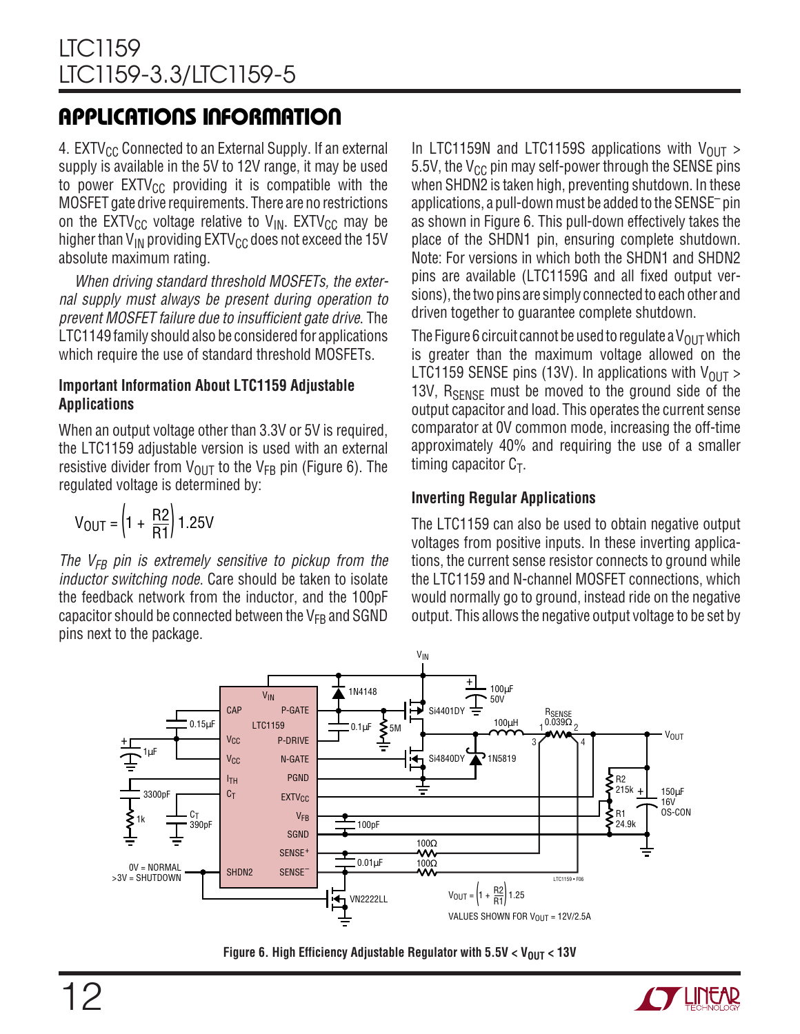4. EXTV $_{\text{CC}}$  Connected to an External Supply. If an external supply is available in the 5V to 12V range, it may be used to power  $EXTV_{CC}$  providing it is compatible with the MOSFET gate drive requirements. There are no restrictions on the EXTV<sub>CC</sub> voltage relative to V<sub>IN</sub>. EXTV<sub>CC</sub> may be higher than  $V_{IN}$  providing  $EXTV_{CG}$  does not exceed the 15V absolute maximum rating.

When driving standard threshold MOSFETs, the external supply must always be present during operation to prevent MOSFET failure due to insufficient gate drive. The LTC1149 family should also be considered for applications which require the use of standard threshold MOSFETs.

#### **Important Information About LTC1159 Adjustable Applications**

When an output voltage other than 3.3V or 5V is required, the LTC1159 adjustable version is used with an external resistive divider from  $V_{\text{OUT}}$  to the  $V_{FB}$  pin (Figure 6). The regulated voltage is determined by:

$$
V_{OUT} = \left(1 + \frac{R2}{R1}\right)1.25V
$$

The  $V_{FB}$  pin is extremely sensitive to pickup from the inductor switching node. Care should be taken to isolate the feedback network from the inductor, and the 100pF capacitor should be connected between the  $V_{FB}$  and SGND pins next to the package.

In LTC1159N and LTC1159S applications with  $V_{\text{OUT}} >$ 5.5V, the  $V_{CC}$  pin may self-power through the SENSE pins when SHDN2 is taken high, preventing shutdown. In these applications, a pull-down must be added to the SENSE– pin as shown in Figure 6. This pull-down effectively takes the place of the SHDN1 pin, ensuring complete shutdown. Note: For versions in which both the SHDN1 and SHDN2 pins are available (LTC1159G and all fixed output versions), the two pins are simply connected to each other and driven together to guarantee complete shutdown.

The Figure 6 circuit cannot be used to regulate a  $V_{\text{OUT}}$  which is greater than the maximum voltage allowed on the LTC1159 SENSE pins (13V). In applications with  $V_{OIII} >$ 13V,  $R_{\text{SENSF}}$  must be moved to the ground side of the output capacitor and load. This operates the current sense comparator at 0V common mode, increasing the off-time approximately 40% and requiring the use of a smaller timing capacitor  $C_T$ .

#### **Inverting Regular Applications**

The LTC1159 can also be used to obtain negative output voltages from positive inputs. In these inverting applications, the current sense resistor connects to ground while the LTC1159 and N-channel MOSFET connections, which would normally go to ground, instead ride on the negative output. This allows the negative output voltage to be set by





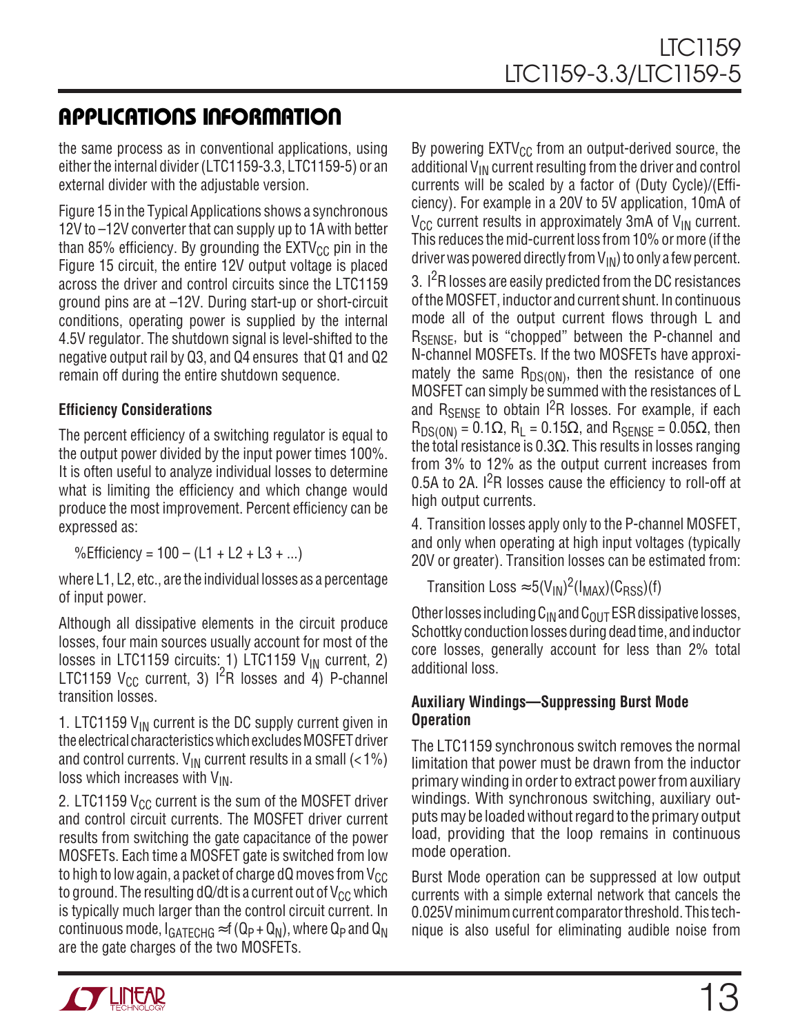the same process as in conventional applications, using either the internal divider (LTC1159-3.3, LTC1159-5) or an external divider with the adjustable version.

Figure 15 in the Typical Applications shows a synchronous 12V to –12V converter that can supply up to 1A with better than 85% efficiency. By grounding the  $EXT_{CC}$  pin in the Figure 15 circuit, the entire 12V output voltage is placed across the driver and control circuits since the LTC1159 ground pins are at –12V. During start-up or short-circuit conditions, operating power is supplied by the internal 4.5V regulator. The shutdown signal is level-shifted to the negative output rail by Q3, and Q4 ensures that Q1 and Q2 remain off during the entire shutdown sequence.

#### **Efficiency Considerations**

The percent efficiency of a switching regulator is equal to the output power divided by the input power times 100%. It is often useful to analyze individual losses to determine what is limiting the efficiency and which change would produce the most improvement. Percent efficiency can be expressed as:

%Efficiency =  $100 - (L1 + L2 + L3 + ...)$ 

where L1, L2, etc., are the individual losses as a percentage of input power.

Although all dissipative elements in the circuit produce losses, four main sources usually account for most of the losses in LTC1159 circuits: 1) LTC1159  $V_{IN}$  current, 2) LTC1159  $V_{CC}$  current, 3)  $1^2R$  losses and 4) P-channel transition losses.

1. LTC1159  $V_{IN}$  current is the DC supply current given in the electrical characteristics which excludes MOSFET driver and control currents.  $V_{\text{IN}}$  current results in a small (<1%) loss which increases with  $V_{IN}$ .

2. LTC1159  $V_{CC}$  current is the sum of the MOSFET driver and control circuit currents. The MOSFET driver current results from switching the gate capacitance of the power MOSFETs. Each time a MOSFET gate is switched from low to high to low again, a packet of charge dQ moves from  $V_{CC}$ to ground. The resulting dQ/dt is a current out of  $V_{CC}$  which is typically much larger than the control circuit current. In continuous mode,  $I_{GATECHG} \approx f(Q_P + Q_N)$ , where  $Q_P$  and  $Q_N$ are the gate charges of the two MOSFETs.

By powering  $EXTV_{CC}$  from an output-derived source, the additional  $V_{IN}$  current resulting from the driver and control currents will be scaled by a factor of (Duty Cycle)/(Efficiency). For example in a 20V to 5V application, 10mA of  $V_{CC}$  current results in approximately 3mA of  $V_{IN}$  current. This reduces the mid-current loss from 10% or more (if the driver was powered directly from  $V_{IN}$ ) to only a few percent.

3.  $1^2$ R losses are easily predicted from the DC resistances of the MOSFET, inductor and current shunt. In continuous mode all of the output current flows through L and R<sub>SENSE</sub>, but is "chopped" between the P-channel and N-channel MOSFETs. If the two MOSFETs have approximately the same  $R_{DS(ON)}$ , then the resistance of one MOSFET can simply be summed with the resistances of L and  $R_{\text{SFNSF}}$  to obtain  $1^2R$  losses. For example, if each  $R_{DS(ON)} = 0.1\Omega$ ,  $R_L = 0.15\Omega$ , and  $R_{SENSE} = 0.05\Omega$ , then the total resistance is 0.3 $\Omega$ . This results in losses ranging from 3% to 12% as the output current increases from 0.5A to 2A. I<sup>2</sup>R losses cause the efficiency to roll-off at high output currents.

4. Transition losses apply only to the P-channel MOSFET, and only when operating at high input voltages (typically 20V or greater). Transition losses can be estimated from:

Transition Loss  $\approx 5(V_{\text{IN}})^2(I_{\text{MAX}})(C_{\text{RSS}})(f)$ 

Other losses including  $C_{IN}$  and  $C_{OUT}$  ESR dissipative losses, Schottky conduction losses during dead time, and inductor core losses, generally account for less than 2% total additional loss.

#### **Auxiliary Windings—Suppressing Burst Mode Operation**

The LTC1159 synchronous switch removes the normal limitation that power must be drawn from the inductor primary winding in order to extract power from auxiliary windings. With synchronous switching, auxiliary outputs may be loaded without regard to the primary output load, providing that the loop remains in continuous mode operation.

Burst Mode operation can be suppressed at low output currents with a simple external network that cancels the 0.025V minimum current comparator threshold. This technique is also useful for eliminating audible noise from

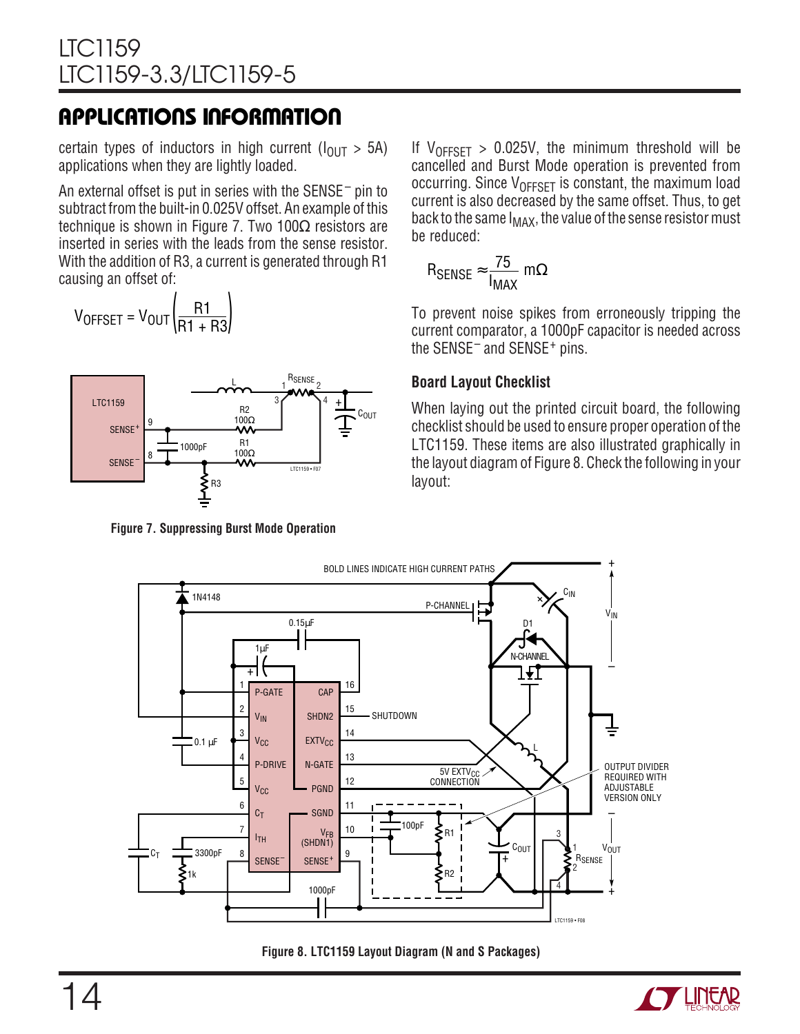certain types of inductors in high current ( $I_{\text{OUT}} > 5$ A) applications when they are lightly loaded.

An external offset is put in series with the SENSE– pin to subtract from the built-in 0.025V offset. An example of this technique is shown in Figure 7. Two  $100Ω$  resistors are inserted in series with the leads from the sense resistor. With the addition of R3, a current is generated through R1 causing an offset of:

$$
V_{OFFSET} = V_{OUT} \left(\frac{R1}{R1 + R3}\right)
$$



**Figure 7. Suppressing Burst Mode Operation**

If  $V_{OFFSET} > 0.025V$ , the minimum threshold will be cancelled and Burst Mode operation is prevented from occurring. Since  $V_{OFFSFT}$  is constant, the maximum load current is also decreased by the same offset. Thus, to get back to the same  $I_{MAX}$ , the value of the sense resistor must be reduced:

$$
R_{\text{SENSE}} \approx \frac{75}{I_{\text{MAX}}} \, \text{m}\Omega
$$

To prevent noise spikes from erroneously tripping the current comparator, a 1000pF capacitor is needed across the SENSE– and SENSE+ pins.

#### **Board Layout Checklist**

When laying out the printed circuit board, the following checklist should be used to ensure proper operation of the LTC1159. These items are also illustrated graphically in the layout diagram of Figure 8. Check the following in your layout:



**Figure 8. LTC1159 Layout Diagram (N and S Packages)**

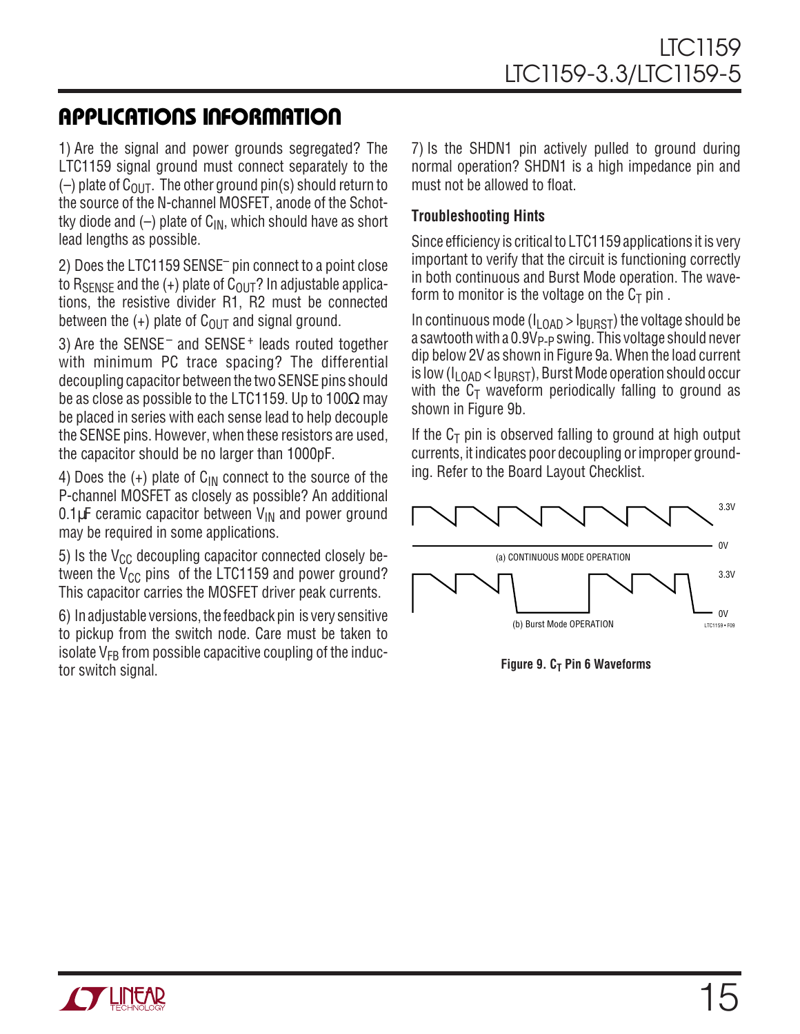1) Are the signal and power grounds segregated? The LTC1159 signal ground must connect separately to the  $(-)$  plate of C<sub>OUT</sub>. The other ground pin(s) should return to the source of the N-channel MOSFET, anode of the Schottky diode and  $(-)$  plate of C<sub>IN</sub>, which should have as short lead lengths as possible.

2) Does the LTC1159 SENSE– pin connect to a point close to R<sub>SFNSF</sub> and the  $(+)$  plate of C<sub>OUT</sub>? In adjustable applications, the resistive divider R1, R2 must be connected between the  $(+)$  plate of C<sub>OUT</sub> and signal ground.

3) Are the SENSE– and SENSE+ leads routed together with minimum PC trace spacing? The differential decoupling capacitor between the two SENSE pins should be as close as possible to the LTC1159. Up to 100 $\Omega$  may be placed in series with each sense lead to help decouple the SENSE pins. However, when these resistors are used, the capacitor should be no larger than 1000pF.

4) Does the  $(+)$  plate of C<sub>IN</sub> connect to the source of the P-channel MOSFET as closely as possible? An additional 0.1 $\mu$ F ceramic capacitor between  $V_{\text{IN}}$  and power ground may be required in some applications.

5) Is the  $V_{CC}$  decoupling capacitor connected closely between the  $V_{CC}$  pins of the LTC1159 and power ground? This capacitor carries the MOSFET driver peak currents.

6) In adjustable versions, the feedback pin is very sensitive to pickup from the switch node. Care must be taken to isolate  $V_{FB}$  from possible capacitive coupling of the inductor switch signal.

7) Is the SHDN1 pin actively pulled to ground during normal operation? SHDN1 is a high impedance pin and must not be allowed to float.

#### **Troubleshooting Hints**

Since efficiency is critical to LTC1159 applications it is very important to verify that the circuit is functioning correctly in both continuous and Burst Mode operation. The waveform to monitor is the voltage on the  $C_T$  pin.

In continuous mode ( $I_{\text{LOAD}}$  >  $I_{\text{BURST}}$ ) the voltage should be a sawtooth with a  $0.9V_{P-P}$  swing. This voltage should never dip below 2V as shown in Figure 9a. When the load current is low ( $I_{LDAD}$  <  $I_{RIRST}$ ), Burst Mode operation should occur with the  $C_T$  waveform periodically falling to ground as shown in Figure 9b.

If the  $C_T$  pin is observed falling to ground at high output currents, it indicates poor decoupling or improper grounding. Refer to the Board Layout Checklist.



**Figure 9. C<sub>T</sub> Pin 6 Waveforms** 

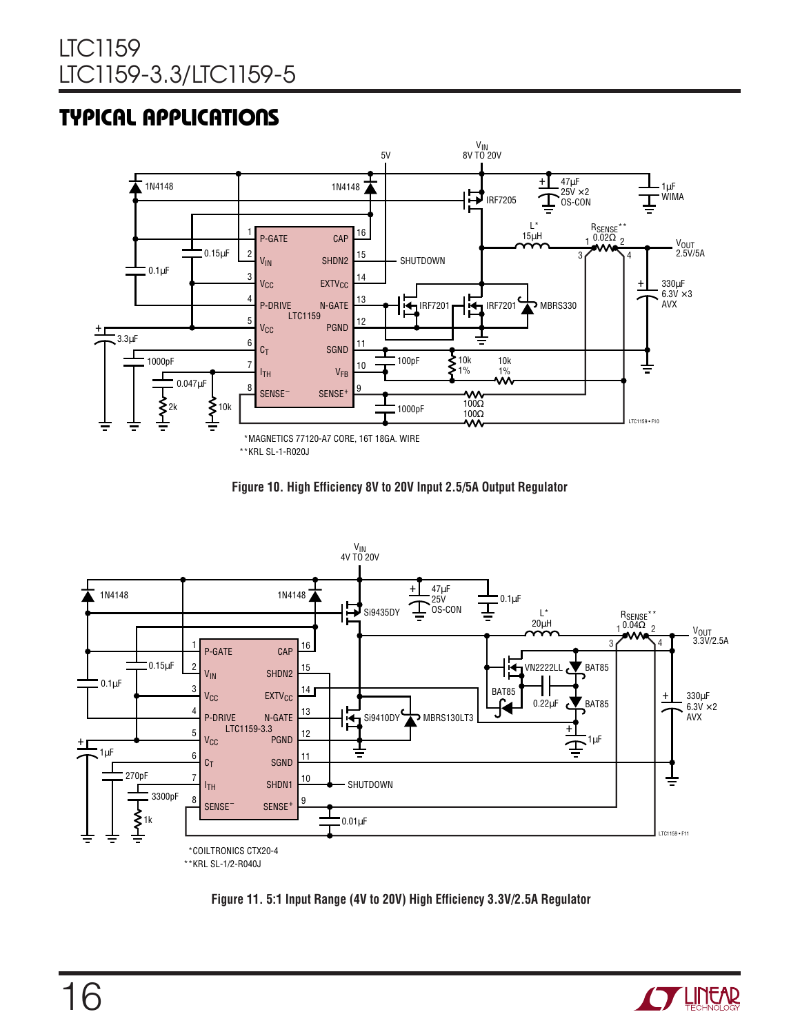### **TYPICAL APPLICATIONS**



\*\*KRL SL-1-R020J







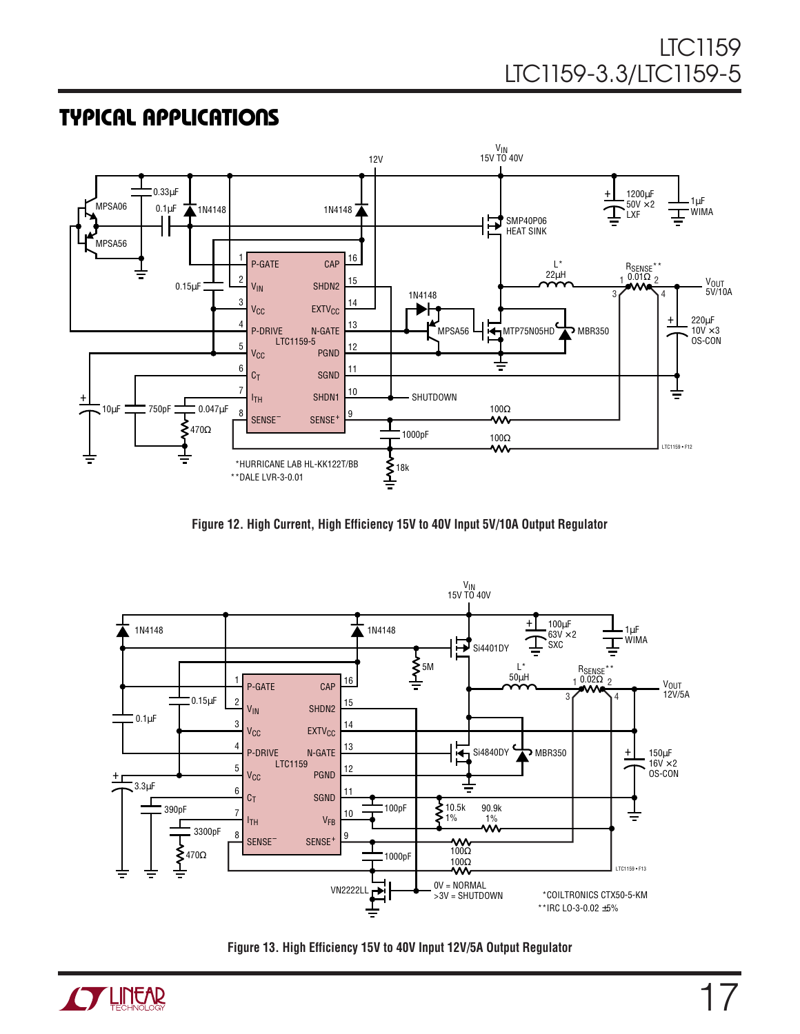### **TYPICAL APPLICATIONS**



**Figure 12. High Current, High Efficiency 15V to 40V Input 5V/10A Output Regulator**



**Figure 13. High Efficiency 15V to 40V Input 12V/5A Output Regulator**

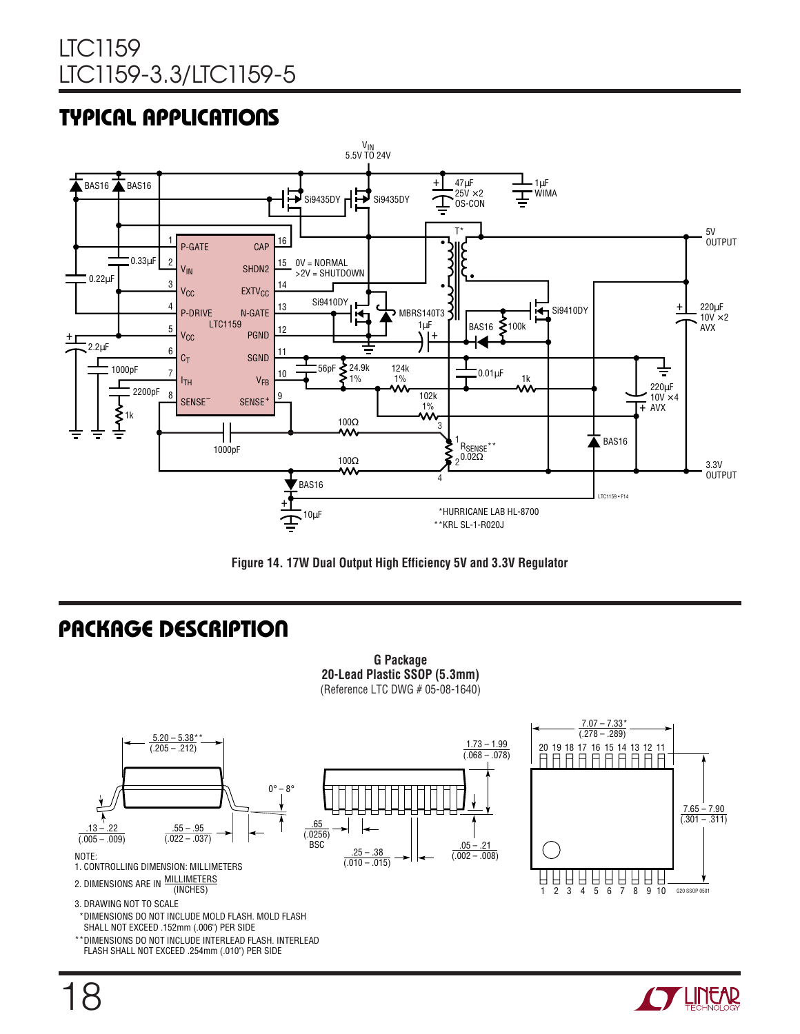### **TYPICAL APPLICATIONS**





### **U PACKAGE DESCRIPTIO**

**G Package 20-Lead Plastic SSOP (5.3mm)** (Reference LTC DWG # 05-08-1640)



- 1. CONTROLLING DIMENSION: MILLIMETERS
- MILLIMETERS 2. DIMENSIONS ARE IN WILLINGTER

3. DRAWING NOT TO SCALE

- \*DIMENSIONS DO NOT INCLUDE MOLD FLASH. MOLD FLASH SHALL NOT EXCEED .152mm (.006") PER SIDE
- \*\*DIMENSIONS DO NOT INCLUDE INTERLEAD FLASH. INTERLEAD FLASH SHALL NOT EXCEED .254mm (.010") PER SIDE







18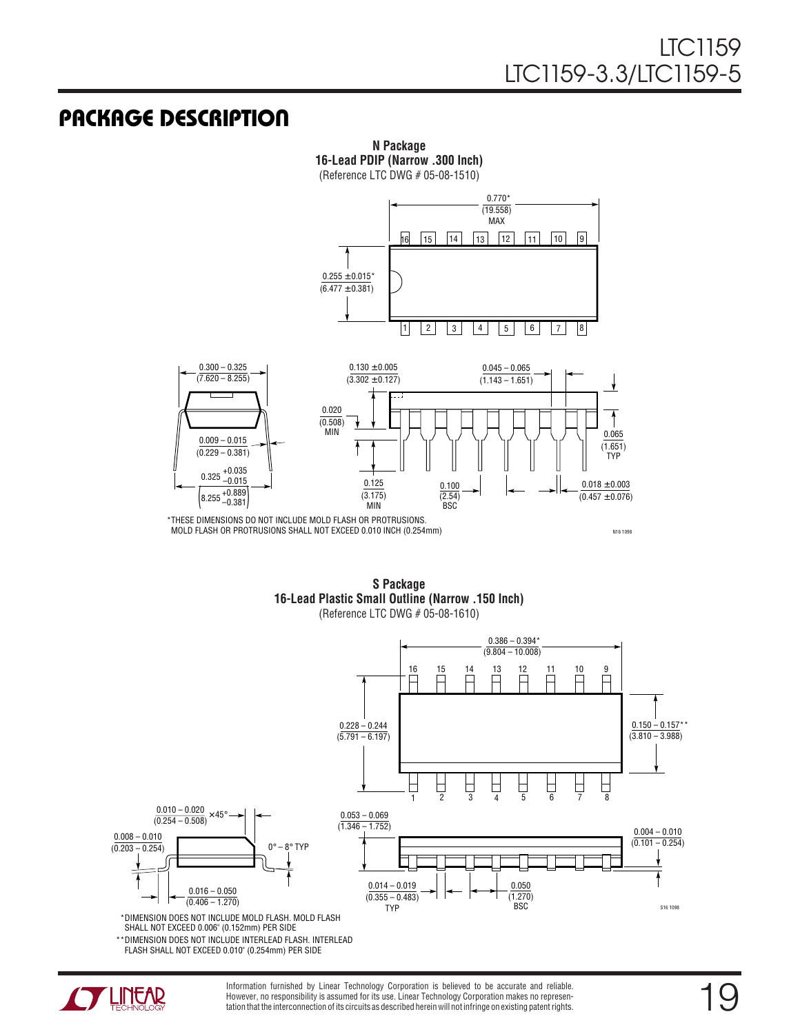### **U PACKAGE DESCRIPTIO**



**N Package 16-Lead PDIP (Narrow .300 Inch)**

(Reference LTC DWG # 05-08-1510)

\*THESE DIMENSIONS DO NOT INCLUDE MOLD FLASH OR PROTRUSIONS. MOLD FLASH OR PROTRUSIONS SHALL NOT EXCEED 0.010 INCH (0.254mm)

N16 1098

**S Package 16-Lead Plastic Small Outline (Narrow .150 Inch)** (Reference LTC DWG # 05-08-1610)



\*\*DIMENSION DOES NOT INCLUDE INTERLEAD FLASH. INTERLEAD FLASH SHALL NOT EXCEED 0.010" (0.254mm) PER SIDE